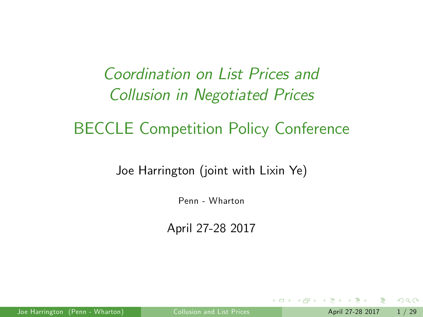# Coordination on List Prices and Collusion in Negotiated Prices

## BECCLE Competition Policy Conference

Joe Harrington (joint with Lixin Ye)

Penn - Wharton

April 27-28 2017

<span id="page-0-0"></span> $QQ$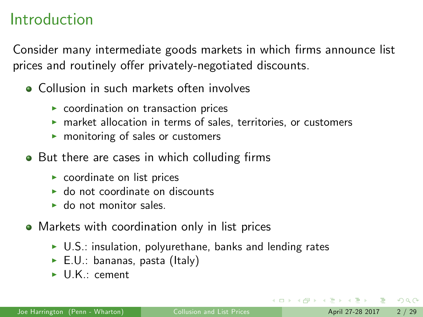Consider many intermediate goods markets in which firms announce list prices and routinely offer privately-negotiated discounts.

- Collusion in such markets often involves
	- $\triangleright$  coordination on transaction prices
	- $\triangleright$  market allocation in terms of sales, territories, or customers
	- $\triangleright$  monitoring of sales or customers
- But there are cases in which colluding firms
	- $\blacktriangleright$  coordinate on list prices
	- <sup>I</sup> do not coordinate on discounts
	- $\blacktriangleright$  do not monitor sales.
- Markets with coordination only in list prices
	- $\triangleright$  U.S.: insulation, polyurethane, banks and lending rates
	- $\blacktriangleright$  E.U.: bananas, pasta (Italy)
	- $\blacktriangleright$  U.K.: cement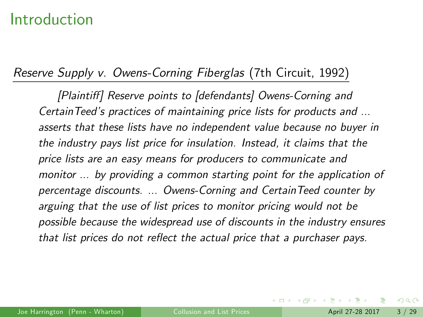#### Reserve Supply v. Owens-Corning Fiberglas (7th Circuit, 1992)

[Plaintiff] Reserve points to [defendants] Owens-Corning and Certain Teed's practices of maintaining price lists for products and ... asserts that these lists have no independent value because no buyer in the industry pays list price for insulation. Instead, it claims that the price lists are an easy means for producers to communicate and monitor ... by providing a common starting point for the application of percentage discounts. ... Owens-Corning and CertainTeed counter by arguing that the use of list prices to monitor pricing would not be possible because the widespread use of discounts in the industry ensures that list prices do not reflect the actual price that a purchaser pays.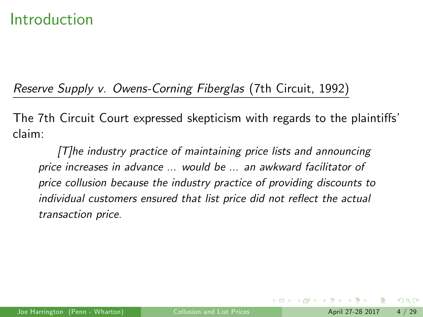Reserve Supply v. Owens-Corning Fiberglas (7th Circuit, 1992)

The 7th Circuit Court expressed skepticism with regards to the plaintiffs' claim:

[T]he industry practice of maintaining price lists and announcing price increases in advance ... would be ... an awkward facilitator of price collusion because the industry practice of providing discounts to individual customers ensured that list price did not reflect the actual transaction price.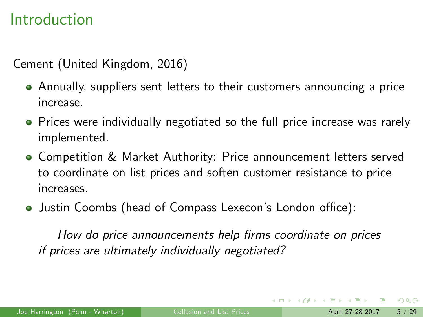Cement (United Kingdom, 2016)

- Annually, suppliers sent letters to their customers announcing a price increase.
- **•** Prices were individually negotiated so the full price increase was rarely implemented.
- Competition & Market Authority: Price announcement letters served to coordinate on list prices and soften customer resistance to price increases.
- Justin Coombs (head of Compass Lexecon's London office):

How do price announcements help firms coordinate on prices if prices are ultimately individually negotiated?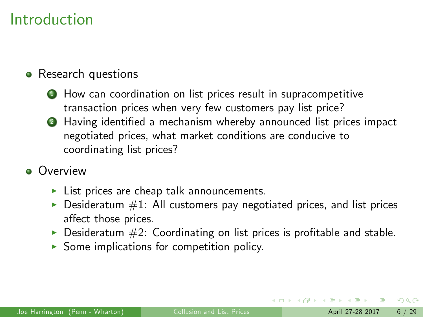#### • Research questions

- **1** How can coordination on list prices result in supracompetitive transaction prices when very few customers pay list price?
- 2 Having identified a mechanism whereby announced list prices impact negotiated prices, what market conditions are conducive to coordinating list prices?
- **Overview** 
	- $\blacktriangleright$  List prices are cheap talk announcements.
	- $\triangleright$  Desideratum  $\#1$ : All customers pay negotiated prices, and list prices affect those prices.
	- $\blacktriangleright$  Desideratum  $\#2$ : Coordinating on list prices is profitable and stable.
	- $\triangleright$  Some implications for competition policy.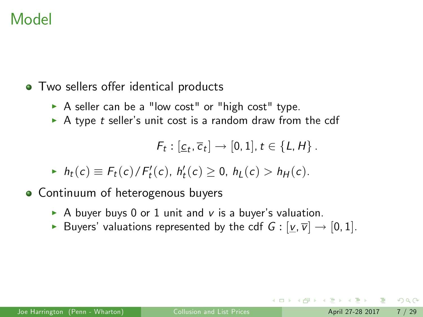• Two sellers offer identical products

- $\triangleright$  A seller can be a "low cost" or "high cost" type.
- $\triangleright$  A type t seller's unit cost is a random draw from the cdf

$$
F_t:[\underline{c}_t,\overline{c}_t]\to[0,1], t\in\{L,H\}.
$$

$$
\blacktriangleright h_t(c) \equiv F_t(c)/F'_t(c), h'_t(c) \geq 0, h_L(c) > h_H(c).
$$

- Continuum of heterogenous buyers
	- A buyer buys 0 or 1 unit and  $v$  is a buyer's valuation.
	- Buyers' valuations represented by the cdf  $G : [v, \overline{v}] \rightarrow [0, 1]$ .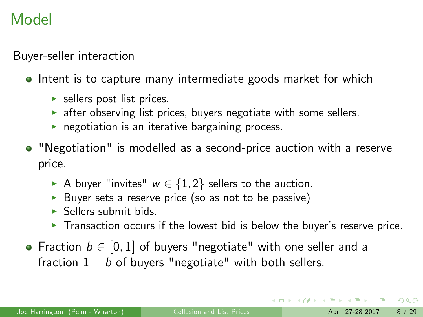Buyer-seller interaction

- **•** Intent is to capture many intermediate goods market for which
	- $\blacktriangleright$  sellers post list prices.
	- $\blacktriangleright$  after observing list prices, buyers negotiate with some sellers.
	- $\triangleright$  negotiation is an iterative bargaining process.
- "Negotiation" is modelled as a second-price auction with a reserve price.
	- A buyer "invites"  $w \in \{1, 2\}$  sellers to the auction.
	- $\triangleright$  Buyer sets a reserve price (so as not to be passive)
	- $\blacktriangleright$  Sellers submit bids.
	- $\blacktriangleright$  Transaction occurs if the lowest bid is below the buyer's reserve price.
- Fraction  $b \in [0, 1]$  of buyers "negotiate" with one seller and a fraction  $1 - b$  of buyers "negotiate" with both sellers.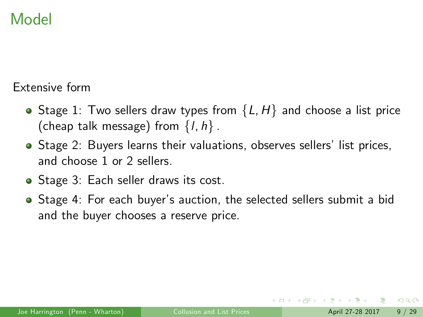Extensive form

- Stage 1: Two sellers draw types from  $\{L, H\}$  and choose a list price (cheap talk message) from  $\{l, h\}$ .
- Stage 2: Buyers learns their valuations, observes sellers' list prices, and choose 1 or 2 sellers.
- Stage 3: Each seller draws its cost.
- Stage 4: For each buyerís auction, the selected sellers submit a bid and the buyer chooses a reserve price.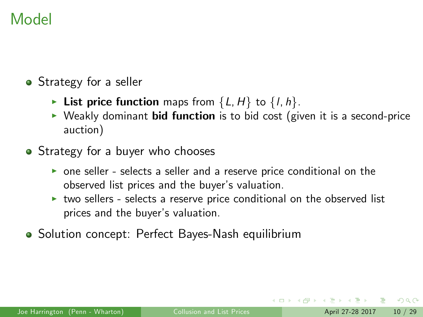- **•** Strategy for a seller
	- Eist price function maps from  $\{L, H\}$  to  $\{I, h\}$ .
	- $\triangleright$  Weakly dominant bid function is to bid cost (given it is a second-price auction)
- Strategy for a buyer who chooses
	- $\triangleright$  one seller selects a seller and a reserve price conditional on the observed list prices and the buyer's valuation.
	- $\triangleright$  two sellers selects a reserve price conditional on the observed list prices and the buyer's valuation.
- Solution concept: Perfect Bayes-Nash equilibrium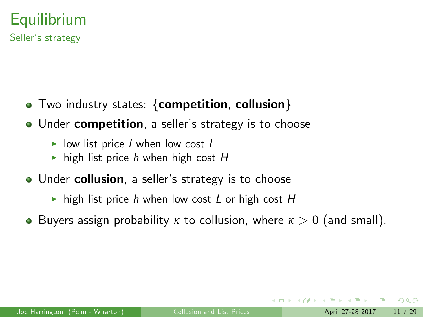- Two industry states: {competition, collusion}
- Under competition, a seller's strategy is to choose
	- $\blacktriangleright$  low list price / when low cost  $L$
	- ightharpoonup high cost H high list price h when high cost H
- Under collusion, a seller's strategy is to choose
	- $\triangleright$  high list price h when low cost L or high cost H
- Buyers assign probability *κ* to collusion, where *κ* > 0 (and small).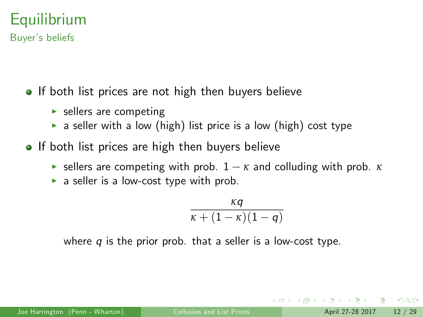# **Equilibrium**

Buyer's beliefs

- If both list prices are not high then buyers believe
	- $\blacktriangleright$  sellers are competing
	- $\triangleright$  a seller with a low (high) list price is a low (high) cost type
- If both list prices are high then buyers believe
	- **Example 1** sellers are competing with prob.  $1 \kappa$  and colluding with prob.  $\kappa$
	- $\triangleright$  a seller is a low-cost type with prob.

$$
\frac{\kappa q}{\kappa+(1-\kappa)(1-q)}
$$

where  $q$  is the prior prob. that a seller is a low-cost type.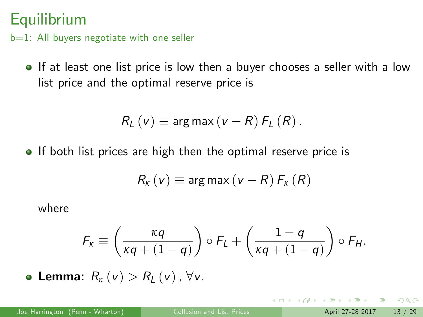## **Equilibrium**

b=1: All buyers negotiate with one seller

If at least one list price is low then a buyer chooses a seller with a low list price and the optimal reserve price is

$$
R_{L}(v) \equiv \arg \max (v - R) F_{L}(R).
$$

**If both list prices are high then the optimal reserve price is** 

$$
R_{\kappa}\left(v\right)\equiv\arg\max\left(v-R\right)F_{\kappa}\left(R\right)
$$

where

$$
F_{\kappa} \equiv \left(\frac{\kappa q}{\kappa q + (1-q)}\right) \circ F_{L} + \left(\frac{1-q}{\kappa q + (1-q)}\right) \circ F_{H}.
$$

**• Lemma:**  $R_K(v) > R_L(v)$ ,  $\forall v$ .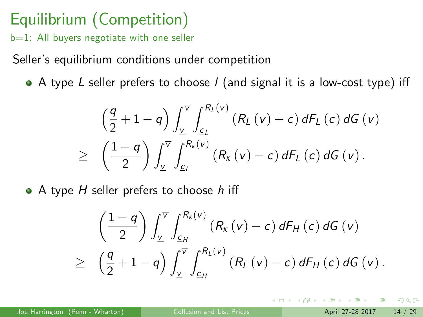## Equilibrium (Competition)

b=1: All buyers negotiate with one seller

Seller's equilibrium conditions under competition

 $\bullet$  A type L seller prefers to choose *l* (and signal it is a low-cost type) iff

$$
\left(\frac{q}{2}+1-q\right)\int_{\underline{v}}^{\overline{v}}\int_{\underline{c}_L}^{R_L(v)}\left(R_L\left(v\right)-c\right)dF_L\left(c\right)dG\left(v\right)
$$
\n
$$
\geq \left(\frac{1-q}{2}\right)\int_{\underline{v}}^{\overline{v}}\int_{\underline{c}_L}^{R_K(v)}\left(R_K\left(v\right)-c\right)dF_L\left(c\right)dG\left(v\right).
$$

 $\bullet$  A type H seller prefers to choose h iff

$$
\left(\frac{1-q}{2}\right)\int_{\underline{v}}^{\overline{v}}\int_{\underline{c}_H}^{R_{\kappa}(v)}\left(R_{\kappa}(v)-c\right)dF_H\left(c\right)dG\left(v\right)
$$
\n
$$
\geq \left(\frac{q}{2}+1-q\right)\int_{\underline{v}}^{\overline{v}}\int_{\underline{c}_H}^{R_L(v)}\left(R_L\left(v\right)-c\right)dF_H\left(c\right)dG\left(v\right).
$$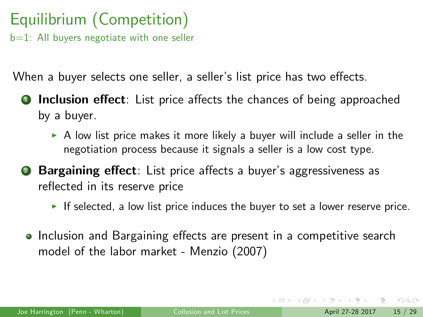### Equilibrium (Competition)

b=1: All buyers negotiate with one seller

When a buyer selects one seller, a seller's list price has two effects.

- **1 Inclusion effect:** List price affects the chances of being approached by a buyer.
	- $\triangleright$  A low list price makes it more likely a buyer will include a seller in the negotiation process because it signals a seller is a low cost type.
- <sup>2</sup> Bargaining effect: List price affects a buyer's aggressiveness as reflected in its reserve price
	- If selected, a low list price induces the buyer to set a lower reserve price.
	- Inclusion and Bargaining effects are present in a competitive search model of the labor market - Menzio (2007)

 $\Omega$ 

イロト イ押ト イラト イラト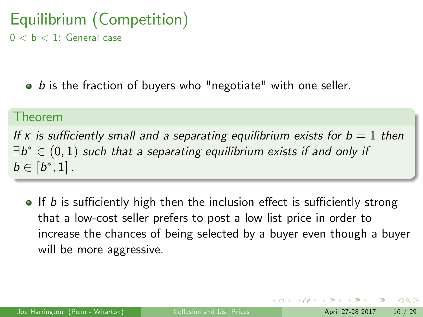### Equilibrium (Competition)  $0 < b < 1$ : General case

 $\bullet$  b is the fraction of buyers who "negotiate" with one seller.

#### Theorem

If  $\kappa$  is sufficiently small and a separating equilibrium exists for  $b = 1$  then  $\exists b^* \in (0,1)$  such that a separating equilibrium exists if and only if  $b \in [b^*, 1]$ .

 $\bullet$  If b is sufficiently high then the inclusion effect is sufficiently strong that a low-cost seller prefers to post a low list price in order to increase the chances of being selected by a buyer even though a buyer will be more aggressive.

 $\Omega$ 

 $A \cap \overline{B} \rightarrow A \Rightarrow A \Rightarrow A \Rightarrow$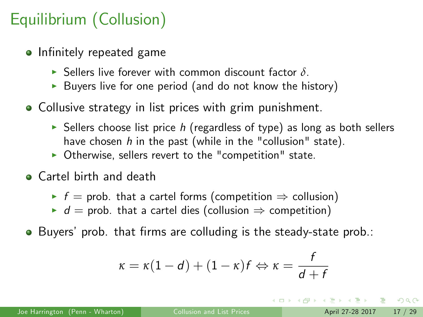- Infinitely repeated game
	- $\triangleright$  Sellers live forever with common discount factor  $\delta$ .
	- Buyers live for one period (and do not know the history)
- Collusive strategy in list prices with grim punishment.
	- $\triangleright$  Sellers choose list price h (regardless of type) as long as both sellers have chosen  $h$  in the past (while in the "collusion" state).
	- $\triangleright$  Otherwise, sellers revert to the "competition" state.
- Cartel birth and death
	- $\rightarrow$  f = prob. that a cartel forms (competition  $\Rightarrow$  collusion)
	- $\blacktriangleright$  d = prob. that a cartel dies (collusion  $\Rightarrow$  competition)

 $\bullet$  Buyers' prob. that firms are colluding is the steady-state prob.:

$$
\kappa = \kappa(1-d) + (1-\kappa)f \Leftrightarrow \kappa = \frac{f}{d+f}
$$

 $\Omega$ 

イロト イ押ト イヨト イヨト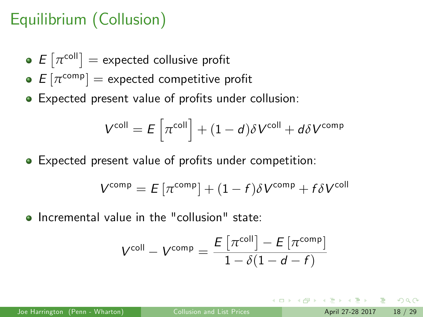- $E\left[\pi^{\text{coll}}\right]=$  expected collusive profit
- $E\left[\pi^{\text{comp}}\right]=$  expected competitive profit
- Expected present value of profits under collusion:

$$
V^{\text{coll}} = E\left[\pi^{\text{coll}}\right] + (1-d)\delta V^{\text{coll}} + d\delta V^{\text{comp}}
$$

• Expected present value of profits under competition:

$$
V^{comp} = E[\pi^{comp}] + (1 - f)\delta V^{comp} + f\delta V^{coll}
$$

**•** Incremental value in the "collusion" state:

$$
V^{\text{coll}} - V^{\text{comp}} = \frac{E\left[\pi^{\text{coll}}\right] - E\left[\pi^{\text{comp}}\right]}{1 - \delta(1 - d - f)}
$$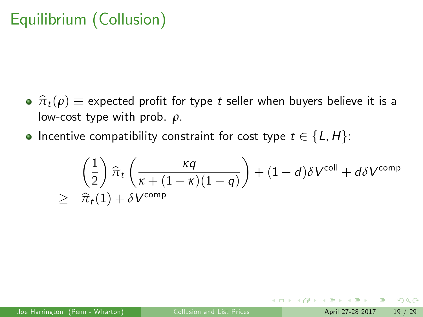- $\hat{\pi}_t(\rho) \equiv$  expected profit for type t seller when buyers believe it is a low-cost type with prob. *ρ*.
- Incentive compatibility constraint for cost type  $t \in \{L, H\}$ :

$$
\begin{array}{l}\n\left(\frac{1}{2}\right)\widehat{\pi}_{t}\left(\frac{\kappa q}{\kappa+(1-\kappa)(1-q)}\right)+(1-d)\delta V^{\text{coll}}+d\delta V^{\text{comp}}\\
\geq \widehat{\pi}_{t}(1)+\delta V^{\text{comp}}\n\end{array}
$$

 $\Omega$ 

イロト イ押ト イラト イラト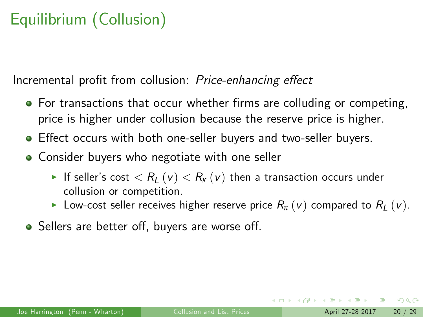Incremental profit from collusion: Price-enhancing effect

- For transactions that occur whether firms are colluding or competing, price is higher under collusion because the reserve price is higher.
- Effect occurs with both one-seller buyers and two-seller buyers.
- **Consider buyers who negotiate with one seller** 
	- If seller's cost  $\langle R_{\mu}(v) \rangle \langle R_{\kappa}(v) \rangle$  then a transaction occurs under collusion or competition.
	- **I** Low-cost seller receives higher reserve price  $R_k(v)$  compared to  $R_l(v)$ .
- Sellers are better off, buyers are worse off.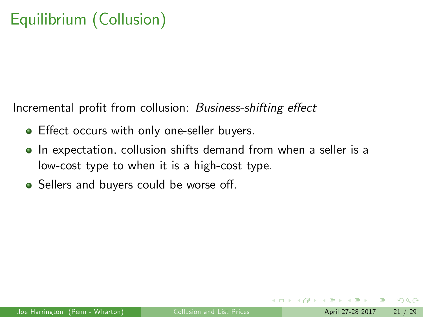Incremental profit from collusion: Business-shifting effect

- Effect occurs with only one-seller buyers.
- In expectation, collusion shifts demand from when a seller is a  $\bullet$ low-cost type to when it is a high-cost type.
- Sellers and buyers could be worse off.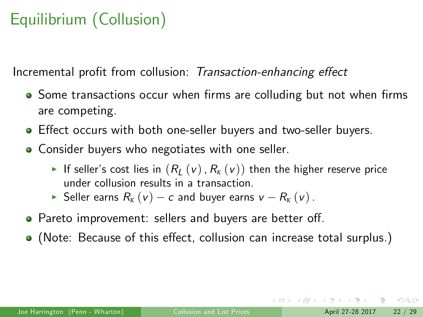Incremental profit from collusion: Transaction-enhancing effect

- Some transactions occur when firms are colluding but not when firms are competing.
- Effect occurs with both one-seller buyers and two-seller buyers.
- Consider buyers who negotiates with one seller.
	- If seller's cost lies in  $(R_L (v), R_K (v))$  then the higher reserve price under collusion results in a transaction.
	- **F** Seller earns  $R_k(v) c$  and buyer earns  $v R_k(v)$ .
- Pareto improvement: sellers and buyers are better off.
- (Note: Because of this effect, collusion can increase total surplus.)

 $\Omega$ 

イロト イ押ト イラト イラト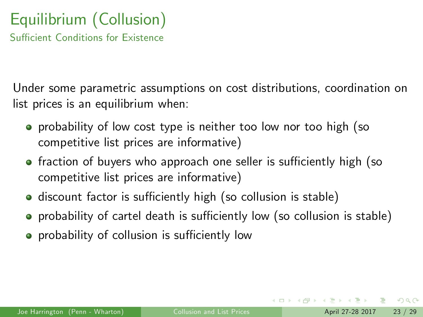Sufficient Conditions for Existence

Under some parametric assumptions on cost distributions, coordination on list prices is an equilibrium when:

- probability of low cost type is neither too low nor too high (so competitive list prices are informative)
- fraction of buyers who approach one seller is sufficiently high (so competitive list prices are informative)
- discount factor is sufficiently high (so collusion is stable)
- probability of cartel death is sufficiently low (so collusion is stable)
- probability of collusion is sufficiently low

 $QQ$ 

ラメ メラメ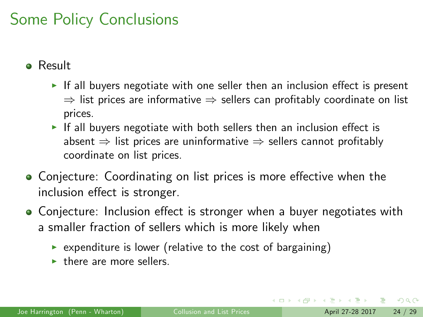## Some Policy Conclusions

- Result
	- If all buyers negotiate with one seller then an inclusion effect is present  $\Rightarrow$  list prices are informative  $\Rightarrow$  sellers can profitably coordinate on list prices.
	- If all buyers negotiate with both sellers then an inclusion effect is absent  $\Rightarrow$  list prices are uninformative  $\Rightarrow$  sellers cannot profitably coordinate on list prices.
- Conjecture: Coordinating on list prices is more effective when the inclusion effect is stronger.
- Conjecture: Inclusion effect is stronger when a buyer negotiates with a smaller fraction of sellers which is more likely when
	- $\triangleright$  expenditure is lower (relative to the cost of bargaining)
	- $\blacktriangleright$  there are more sellers.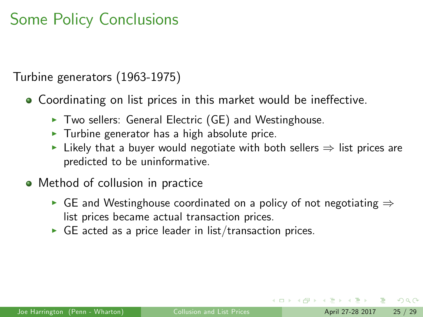## Some Policy Conclusions

Turbine generators (1963-1975)

- Coordinating on list prices in this market would be ineffective.
	- $\triangleright$  Two sellers: General Electric (GE) and Westinghouse.
	- $\triangleright$  Turbine generator has a high absolute price.
	- If Likely that a buyer would negotiate with both sellers  $\Rightarrow$  list prices are predicted to be uninformative.
- Method of collusion in practice
	- GE and Westinghouse coordinated on a policy of not negotiating  $\Rightarrow$ list prices became actual transaction prices.
	- $\triangleright$  GE acted as a price leader in list/transaction prices.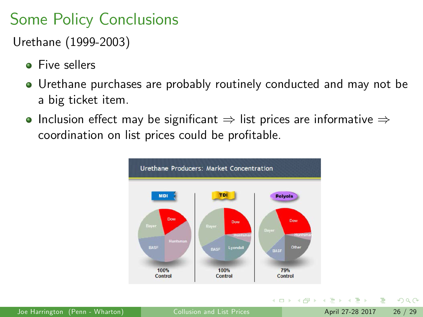# Some Policy Conclusions

Urethane (1999-2003)

- **•** Five sellers
- Urethane purchases are probably routinely conducted and may not be a big ticket item.
- Inclusion effect may be significant  $\Rightarrow$  list prices are informative  $\Rightarrow$ coordination on list prices could be profitable.



 $QQ$ 

 $\sim$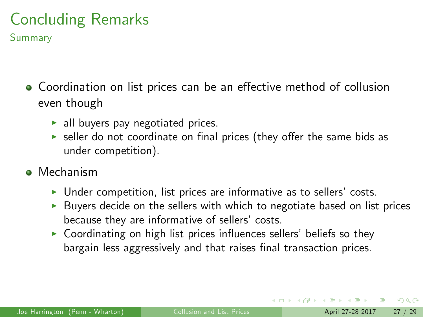# Concluding Remarks

Summary

- Coordination on list prices can be an effective method of collusion even though
	- $\blacktriangleright$  all buyers pay negotiated prices.
	- $\triangleright$  seller do not coordinate on final prices (they offer the same bids as under competition).
- **Mechanism** 
	- $\triangleright$  Under competition, list prices are informative as to sellers' costs.
	- $\triangleright$  Buyers decide on the sellers with which to negotiate based on list prices because they are informative of sellers' costs.
	- $\triangleright$  Coordinating on high list prices influences sellers' beliefs so they bargain less aggressively and that raises final transaction prices.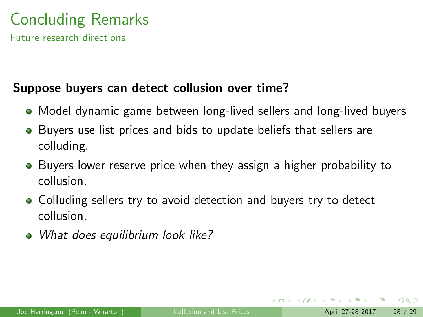# Concluding Remarks

Future research directions

#### Suppose buyers can detect collusion over time?

- Model dynamic game between long-lived sellers and long-lived buyers
- Buyers use list prices and bids to update beliefs that sellers are colluding.
- **•** Buyers lower reserve price when they assign a higher probability to collusion.
- Colluding sellers try to avoid detection and buyers try to detect collusion.
- What does equilibrium look like?